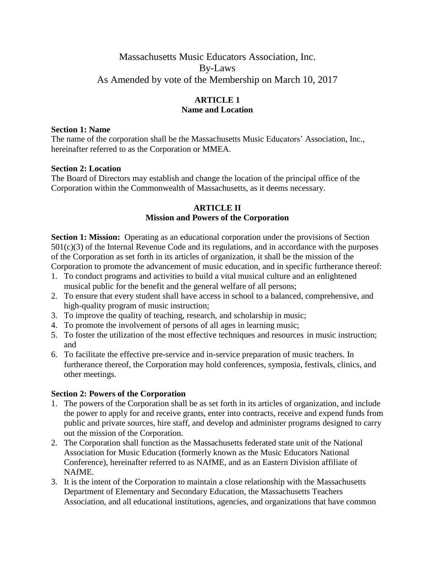# Massachusetts Music Educators Association, Inc. By-Laws As Amended by vote of the Membership on March 10, 2017

# **ARTICLE 1 Name and Location**

#### **Section 1: Name**

The name of the corporation shall be the Massachusetts Music Educators' Association, Inc., hereinafter referred to as the Corporation or MMEA.

## **Section 2: Location**

The Board of Directors may establish and change the location of the principal office of the Corporation within the Commonwealth of Massachusetts, as it deems necessary.

#### **ARTICLE II Mission and Powers of the Corporation**

**Section 1: Mission:** Operating as an educational corporation under the provisions of Section 501(c)(3) of the Internal Revenue Code and its regulations, and in accordance with the purposes of the Corporation as set forth in its articles of organization, it shall be the mission of the Corporation to promote the advancement of music education, and in specific furtherance thereof:

- 1. To conduct programs and activities to build a vital musical culture and an enlightened musical public for the benefit and the general welfare of all persons;
- 2. To ensure that every student shall have access in school to a balanced, comprehensive, and high-quality program of music instruction;
- 3. To improve the quality of teaching, research, and scholarship in music;
- 4. To promote the involvement of persons of all ages in learning music;
- 5. To foster the utilization of the most effective techniques and resources in music instruction; and
- 6. To facilitate the effective pre-service and in-service preparation of music teachers. In furtherance thereof, the Corporation may hold conferences, symposia, festivals, clinics, and other meetings.

## **Section 2: Powers of the Corporation**

- 1. The powers of the Corporation shall be as set forth in its articles of organization, and include the power to apply for and receive grants, enter into contracts, receive and expend funds from public and private sources, hire staff, and develop and administer programs designed to carry out the mission of the Corporation.
- 2. The Corporation shall function as the Massachusetts federated state unit of the National Association for Music Education (formerly known as the Music Educators National Conference), hereinafter referred to as NAfME, and as an Eastern Division affiliate of NAfME.
- 3. It is the intent of the Corporation to maintain a close relationship with the Massachusetts Department of Elementary and Secondary Education, the Massachusetts Teachers Association, and all educational institutions, agencies, and organizations that have common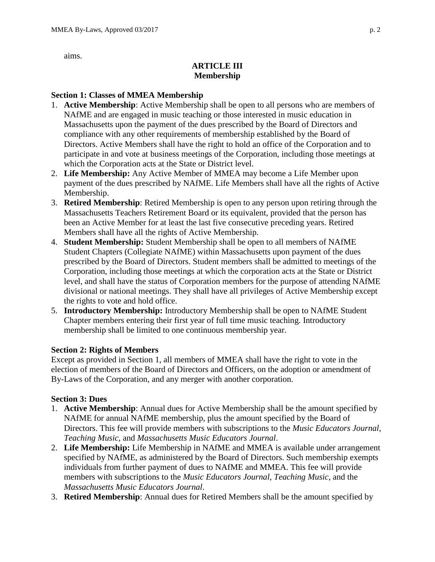aims.

# **ARTICLE III Membership**

## **Section 1: Classes of MMEA Membership**

- 1. **Active Membership**: Active Membership shall be open to all persons who are members of NAfME and are engaged in music teaching or those interested in music education in Massachusetts upon the payment of the dues prescribed by the Board of Directors and compliance with any other requirements of membership established by the Board of Directors. Active Members shall have the right to hold an office of the Corporation and to participate in and vote at business meetings of the Corporation, including those meetings at which the Corporation acts at the State or District level.
- 2. **Life Membership:** Any Active Member of MMEA may become a Life Member upon payment of the dues prescribed by NAfME. Life Members shall have all the rights of Active Membership.
- 3. **Retired Membership**: Retired Membership is open to any person upon retiring through the Massachusetts Teachers Retirement Board or its equivalent, provided that the person has been an Active Member for at least the last five consecutive preceding years. Retired Members shall have all the rights of Active Membership.
- 4. **Student Membership:** Student Membership shall be open to all members of NAfME Student Chapters (Collegiate NAfME) within Massachusetts upon payment of the dues prescribed by the Board of Directors. Student members shall be admitted to meetings of the Corporation, including those meetings at which the corporation acts at the State or District level, and shall have the status of Corporation members for the purpose of attending NAfME divisional or national meetings. They shall have all privileges of Active Membership except the rights to vote and hold office.
- 5. **Introductory Membership:** Introductory Membership shall be open to NAfME Student Chapter members entering their first year of full time music teaching. Introductory membership shall be limited to one continuous membership year.

# **Section 2: Rights of Members**

Except as provided in Section 1, all members of MMEA shall have the right to vote in the election of members of the Board of Directors and Officers, on the adoption or amendment of By-Laws of the Corporation, and any merger with another corporation.

## **Section 3: Dues**

- 1. **Active Membership**: Annual dues for Active Membership shall be the amount specified by NAfME for annual NAfME membership, plus the amount specified by the Board of Directors. This fee will provide members with subscriptions to the *Music Educators Journal*, *Teaching Music*, and *Massachusetts Music Educators Journal*.
- 2. **Life Membership:** Life Membership in NAfME and MMEA is available under arrangement specified by NAfME, as administered by the Board of Directors. Such membership exempts individuals from further payment of dues to NAfME and MMEA. This fee will provide members with subscriptions to the *Music Educators Journal*, *Teaching Music*, and the *Massachusetts Music Educators Journal*.
- 3. **Retired Membership**: Annual dues for Retired Members shall be the amount specified by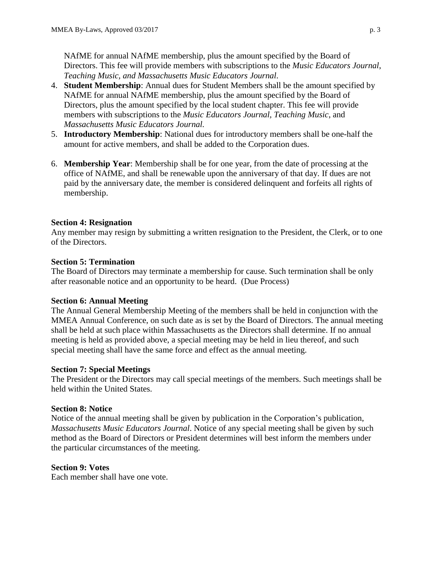NAfME for annual NAfME membership, plus the amount specified by the Board of Directors. This fee will provide members with subscriptions to the *Music Educators Journal*, *Teaching Music, and Massachusetts Music Educators Journal*.

- 4. **Student Membership**: Annual dues for Student Members shall be the amount specified by NAfME for annual NAfME membership, plus the amount specified by the Board of Directors, plus the amount specified by the local student chapter. This fee will provide members with subscriptions to the *Music Educators Journal, Teaching Music*, and *Massachusetts Music Educators Journal.*
- 5. **Introductory Membership**: National dues for introductory members shall be one-half the amount for active members, and shall be added to the Corporation dues.
- 6. **Membership Year**: Membership shall be for one year, from the date of processing at the office of NAfME, and shall be renewable upon the anniversary of that day. If dues are not paid by the anniversary date, the member is considered delinquent and forfeits all rights of membership.

## **Section 4: Resignation**

Any member may resign by submitting a written resignation to the President, the Clerk, or to one of the Directors.

## **Section 5: Termination**

The Board of Directors may terminate a membership for cause. Such termination shall be only after reasonable notice and an opportunity to be heard. (Due Process)

# **Section 6: Annual Meeting**

The Annual General Membership Meeting of the members shall be held in conjunction with the MMEA Annual Conference, on such date as is set by the Board of Directors. The annual meeting shall be held at such place within Massachusetts as the Directors shall determine. If no annual meeting is held as provided above, a special meeting may be held in lieu thereof, and such special meeting shall have the same force and effect as the annual meeting.

## **Section 7: Special Meetings**

The President or the Directors may call special meetings of the members. Such meetings shall be held within the United States.

## **Section 8: Notice**

Notice of the annual meeting shall be given by publication in the Corporation's publication, *Massachusetts Music Educators Journal*. Notice of any special meeting shall be given by such method as the Board of Directors or President determines will best inform the members under the particular circumstances of the meeting.

## **Section 9: Votes**

Each member shall have one vote.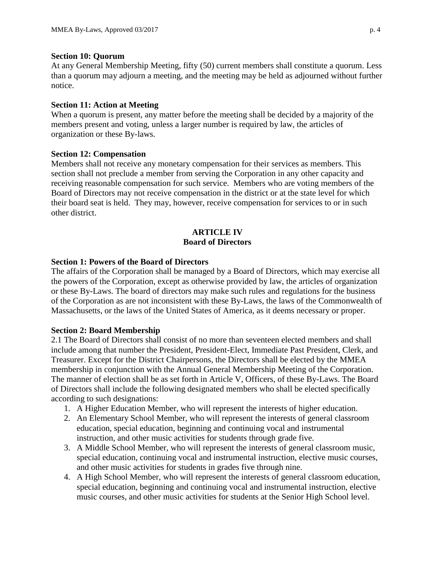#### **Section 10: Quorum**

At any General Membership Meeting, fifty (50) current members shall constitute a quorum. Less than a quorum may adjourn a meeting, and the meeting may be held as adjourned without further notice.

#### **Section 11: Action at Meeting**

When a quorum is present, any matter before the meeting shall be decided by a majority of the members present and voting, unless a larger number is required by law, the articles of organization or these By-laws.

#### **Section 12: Compensation**

Members shall not receive any monetary compensation for their services as members. This section shall not preclude a member from serving the Corporation in any other capacity and receiving reasonable compensation for such service. Members who are voting members of the Board of Directors may not receive compensation in the district or at the state level for which their board seat is held. They may, however, receive compensation for services to or in such other district.

#### **ARTICLE IV Board of Directors**

#### **Section 1: Powers of the Board of Directors**

The affairs of the Corporation shall be managed by a Board of Directors, which may exercise all the powers of the Corporation, except as otherwise provided by law, the articles of organization or these By-Laws. The board of directors may make such rules and regulations for the business of the Corporation as are not inconsistent with these By-Laws, the laws of the Commonwealth of Massachusetts, or the laws of the United States of America, as it deems necessary or proper.

#### **Section 2: Board Membership**

2.1 The Board of Directors shall consist of no more than seventeen elected members and shall include among that number the President, President-Elect, Immediate Past President, Clerk, and Treasurer. Except for the District Chairpersons, the Directors shall be elected by the MMEA membership in conjunction with the Annual General Membership Meeting of the Corporation. The manner of election shall be as set forth in Article V, Officers, of these By-Laws. The Board of Directors shall include the following designated members who shall be elected specifically according to such designations:

- 1. A Higher Education Member, who will represent the interests of higher education.
- 2. An Elementary School Member, who will represent the interests of general classroom education, special education, beginning and continuing vocal and instrumental instruction, and other music activities for students through grade five.
- 3. A Middle School Member, who will represent the interests of general classroom music, special education, continuing vocal and instrumental instruction, elective music courses, and other music activities for students in grades five through nine.
- 4. A High School Member, who will represent the interests of general classroom education, special education, beginning and continuing vocal and instrumental instruction, elective music courses, and other music activities for students at the Senior High School level.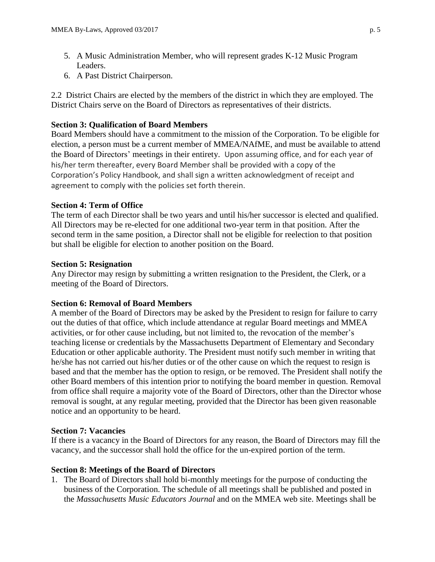- 5. A Music Administration Member, who will represent grades K-12 Music Program Leaders.
- 6. A Past District Chairperson.

2.2 District Chairs are elected by the members of the district in which they are employed. The District Chairs serve on the Board of Directors as representatives of their districts.

# **Section 3: Qualification of Board Members**

Board Members should have a commitment to the mission of the Corporation. To be eligible for election, a person must be a current member of MMEA/NAfME, and must be available to attend the Board of Directors' meetings in their entirety. Upon assuming office, and for each year of his/her term thereafter, every Board Member shall be provided with a copy of the Corporation's Policy Handbook, and shall sign a written acknowledgment of receipt and agreement to comply with the policies set forth therein.

## **Section 4: Term of Office**

The term of each Director shall be two years and until his/her successor is elected and qualified. All Directors may be re-elected for one additional two-year term in that position. After the second term in the same position, a Director shall not be eligible for reelection to that position but shall be eligible for election to another position on the Board.

## **Section 5: Resignation**

Any Director may resign by submitting a written resignation to the President, the Clerk, or a meeting of the Board of Directors.

## **Section 6: Removal of Board Members**

A member of the Board of Directors may be asked by the President to resign for failure to carry out the duties of that office, which include attendance at regular Board meetings and MMEA activities, or for other cause including, but not limited to, the revocation of the member's teaching license or credentials by the Massachusetts Department of Elementary and Secondary Education or other applicable authority. The President must notify such member in writing that he/she has not carried out his/her duties or of the other cause on which the request to resign is based and that the member has the option to resign, or be removed. The President shall notify the other Board members of this intention prior to notifying the board member in question. Removal from office shall require a majority vote of the Board of Directors, other than the Director whose removal is sought, at any regular meeting, provided that the Director has been given reasonable notice and an opportunity to be heard.

# **Section 7: Vacancies**

If there is a vacancy in the Board of Directors for any reason, the Board of Directors may fill the vacancy, and the successor shall hold the office for the un-expired portion of the term.

## **Section 8: Meetings of the Board of Directors**

1. The Board of Directors shall hold bi-monthly meetings for the purpose of conducting the business of the Corporation. The schedule of all meetings shall be published and posted in the *Massachusetts Music Educators Journal* and on the MMEA web site. Meetings shall be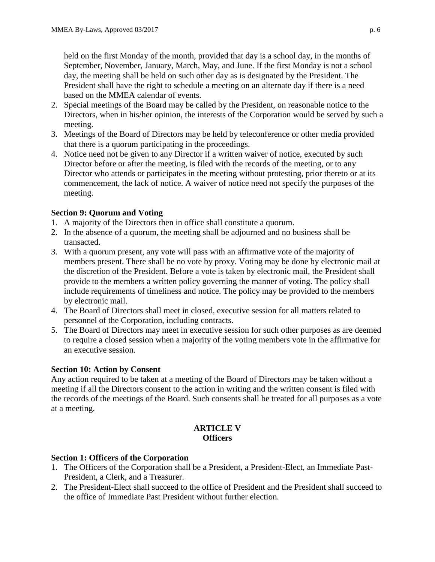held on the first Monday of the month, provided that day is a school day, in the months of September, November, January, March, May, and June. If the first Monday is not a school day, the meeting shall be held on such other day as is designated by the President. The President shall have the right to schedule a meeting on an alternate day if there is a need based on the MMEA calendar of events.

- 2. Special meetings of the Board may be called by the President, on reasonable notice to the Directors, when in his/her opinion, the interests of the Corporation would be served by such a meeting.
- 3. Meetings of the Board of Directors may be held by teleconference or other media provided that there is a quorum participating in the proceedings.
- 4. Notice need not be given to any Director if a written waiver of notice, executed by such Director before or after the meeting, is filed with the records of the meeting, or to any Director who attends or participates in the meeting without protesting, prior thereto or at its commencement, the lack of notice. A waiver of notice need not specify the purposes of the meeting.

# **Section 9: Quorum and Voting**

- 1. A majority of the Directors then in office shall constitute a quorum.
- 2. In the absence of a quorum, the meeting shall be adjourned and no business shall be transacted.
- 3. With a quorum present, any vote will pass with an affirmative vote of the majority of members present. There shall be no vote by proxy. Voting may be done by electronic mail at the discretion of the President. Before a vote is taken by electronic mail, the President shall provide to the members a written policy governing the manner of voting. The policy shall include requirements of timeliness and notice. The policy may be provided to the members by electronic mail.
- 4. The Board of Directors shall meet in closed, executive session for all matters related to personnel of the Corporation, including contracts.
- 5. The Board of Directors may meet in executive session for such other purposes as are deemed to require a closed session when a majority of the voting members vote in the affirmative for an executive session.

## **Section 10: Action by Consent**

Any action required to be taken at a meeting of the Board of Directors may be taken without a meeting if all the Directors consent to the action in writing and the written consent is filed with the records of the meetings of the Board. Such consents shall be treated for all purposes as a vote at a meeting.

## **ARTICLE V Officers**

## **Section 1: Officers of the Corporation**

- 1. The Officers of the Corporation shall be a President, a President-Elect, an Immediate Past-President, a Clerk, and a Treasurer.
- 2. The President-Elect shall succeed to the office of President and the President shall succeed to the office of Immediate Past President without further election.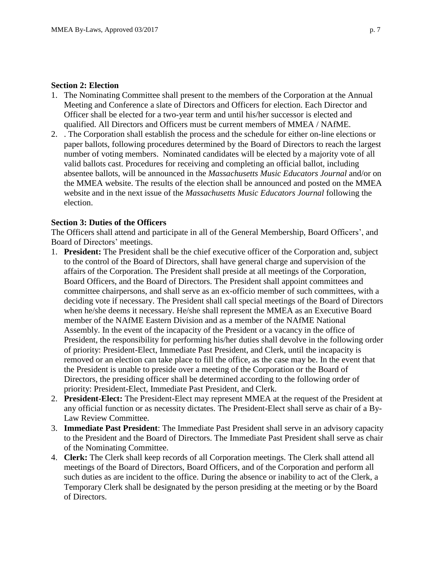#### **Section 2: Election**

- 1. The Nominating Committee shall present to the members of the Corporation at the Annual Meeting and Conference a slate of Directors and Officers for election. Each Director and Officer shall be elected for a two-year term and until his/her successor is elected and qualified. All Directors and Officers must be current members of MMEA / NAfME.
- 2. . The Corporation shall establish the process and the schedule for either on-line elections or paper ballots, following procedures determined by the Board of Directors to reach the largest number of voting members. Nominated candidates will be elected by a majority vote of all valid ballots cast. Procedures for receiving and completing an official ballot, including absentee ballots, will be announced in the *Massachusetts Music Educators Journal* and/or on the MMEA website. The results of the election shall be announced and posted on the MMEA website and in the next issue of the *Massachusetts Music Educators Journal* following the election.

#### **Section 3: Duties of the Officers**

The Officers shall attend and participate in all of the General Membership, Board Officers', and Board of Directors' meetings.

- 1. **President:** The President shall be the chief executive officer of the Corporation and, subject to the control of the Board of Directors, shall have general charge and supervision of the affairs of the Corporation. The President shall preside at all meetings of the Corporation, Board Officers, and the Board of Directors. The President shall appoint committees and committee chairpersons, and shall serve as an ex-officio member of such committees, with a deciding vote if necessary. The President shall call special meetings of the Board of Directors when he/she deems it necessary. He/she shall represent the MMEA as an Executive Board member of the NAfME Eastern Division and as a member of the NAfME National Assembly. In the event of the incapacity of the President or a vacancy in the office of President, the responsibility for performing his/her duties shall devolve in the following order of priority: President-Elect, Immediate Past President, and Clerk, until the incapacity is removed or an election can take place to fill the office, as the case may be. In the event that the President is unable to preside over a meeting of the Corporation or the Board of Directors, the presiding officer shall be determined according to the following order of priority: President-Elect, Immediate Past President, and Clerk.
- 2. **President-Elect:** The President-Elect may represent MMEA at the request of the President at any official function or as necessity dictates. The President-Elect shall serve as chair of a By-Law Review Committee.
- 3. **Immediate Past President**: The Immediate Past President shall serve in an advisory capacity to the President and the Board of Directors. The Immediate Past President shall serve as chair of the Nominating Committee.
- 4. **Clerk:** The Clerk shall keep records of all Corporation meetings. The Clerk shall attend all meetings of the Board of Directors, Board Officers, and of the Corporation and perform all such duties as are incident to the office. During the absence or inability to act of the Clerk, a Temporary Clerk shall be designated by the person presiding at the meeting or by the Board of Directors.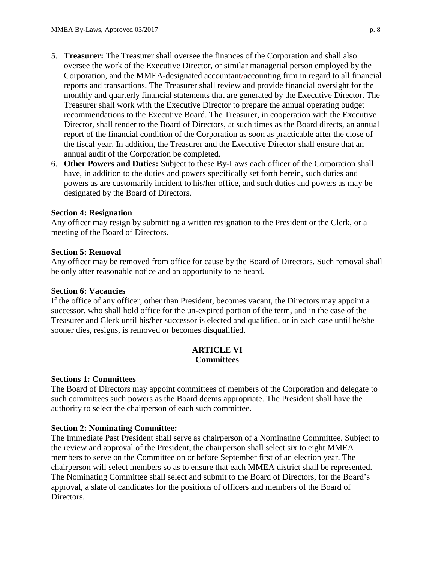- 5. **Treasurer:** The Treasurer shall oversee the finances of the Corporation and shall also oversee the work of the Executive Director, or similar managerial person employed by the Corporation, and the MMEA-designated accountant/accounting firm in regard to all financial reports and transactions. The Treasurer shall review and provide financial oversight for the monthly and quarterly financial statements that are generated by the Executive Director. The Treasurer shall work with the Executive Director to prepare the annual operating budget recommendations to the Executive Board. The Treasurer, in cooperation with the Executive Director, shall render to the Board of Directors, at such times as the Board directs, an annual report of the financial condition of the Corporation as soon as practicable after the close of the fiscal year. In addition, the Treasurer and the Executive Director shall ensure that an annual audit of the Corporation be completed.
- 6. **Other Powers and Duties:** Subject to these By-Laws each officer of the Corporation shall have, in addition to the duties and powers specifically set forth herein, such duties and powers as are customarily incident to his/her office, and such duties and powers as may be designated by the Board of Directors.

#### **Section 4: Resignation**

Any officer may resign by submitting a written resignation to the President or the Clerk, or a meeting of the Board of Directors.

#### **Section 5: Removal**

Any officer may be removed from office for cause by the Board of Directors. Such removal shall be only after reasonable notice and an opportunity to be heard.

#### **Section 6: Vacancies**

If the office of any officer, other than President, becomes vacant, the Directors may appoint a successor, who shall hold office for the un-expired portion of the term, and in the case of the Treasurer and Clerk until his/her successor is elected and qualified, or in each case until he/she sooner dies, resigns, is removed or becomes disqualified.

#### **ARTICLE VI Committees**

#### **Sections 1: Committees**

The Board of Directors may appoint committees of members of the Corporation and delegate to such committees such powers as the Board deems appropriate. The President shall have the authority to select the chairperson of each such committee.

#### **Section 2: Nominating Committee:**

The Immediate Past President shall serve as chairperson of a Nominating Committee. Subject to the review and approval of the President, the chairperson shall select six to eight MMEA members to serve on the Committee on or before September first of an election year. The chairperson will select members so as to ensure that each MMEA district shall be represented. The Nominating Committee shall select and submit to the Board of Directors, for the Board's approval, a slate of candidates for the positions of officers and members of the Board of Directors.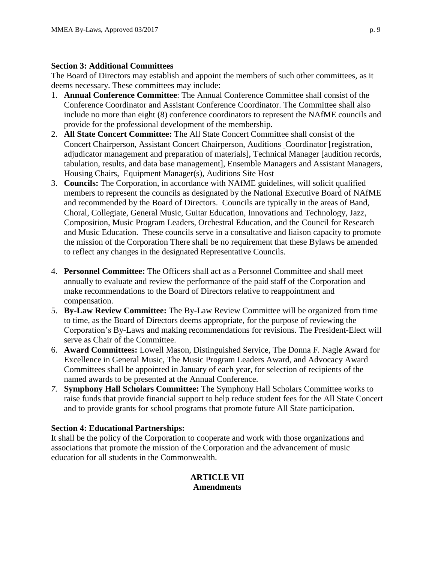#### **Section 3: Additional Committees**

The Board of Directors may establish and appoint the members of such other committees, as it deems necessary. These committees may include:

- 1. **Annual Conference Committee**: The Annual Conference Committee shall consist of the Conference Coordinator and Assistant Conference Coordinator. The Committee shall also include no more than eight (8) conference coordinators to represent the NAfME councils and provide for the professional development of the membership.
- 2. **All State Concert Committee:** The All State Concert Committee shall consist of the Concert Chairperson, Assistant Concert Chairperson, Auditions Coordinator [registration, adjudicator management and preparation of materials], Technical Manager [audition records, tabulation, results, and data base management], Ensemble Managers and Assistant Managers, Housing Chairs, Equipment Manager(s), Auditions Site Host
- 3. **Councils:** The Corporation, in accordance with NAfME guidelines, will solicit qualified members to represent the councils as designated by the National Executive Board of NAfME and recommended by the Board of Directors. Councils are typically in the areas of Band, Choral, Collegiate, General Music, Guitar Education, Innovations and Technology, Jazz, Composition, Music Program Leaders, Orchestral Education, and the Council for Research and Music Education. These councils serve in a consultative and liaison capacity to promote the mission of the Corporation There shall be no requirement that these Bylaws be amended to reflect any changes in the designated Representative Councils.
- 4. **Personnel Committee:** The Officers shall act as a Personnel Committee and shall meet annually to evaluate and review the performance of the paid staff of the Corporation and make recommendations to the Board of Directors relative to reappointment and compensation.
- 5. **By-Law Review Committee:** The By-Law Review Committee will be organized from time to time, as the Board of Directors deems appropriate, for the purpose of reviewing the Corporation's By-Laws and making recommendations for revisions. The President-Elect will serve as Chair of the Committee.
- 6. **Award Committees:** Lowell Mason, Distinguished Service, The Donna F. Nagle Award for Excellence in General Music, The Music Program Leaders Award, and Advocacy Award Committees shall be appointed in January of each year, for selection of recipients of the named awards to be presented at the Annual Conference.
- *7.* **Symphony Hall Scholars Committee:** The Symphony Hall Scholars Committee works to raise funds that provide financial support to help reduce student fees for the All State Concert and to provide grants for school programs that promote future All State participation.

## **Section 4: Educational Partnerships:**

It shall be the policy of the Corporation to cooperate and work with those organizations and associations that promote the mission of the Corporation and the advancement of music education for all students in the Commonwealth.

## **ARTICLE VII Amendments**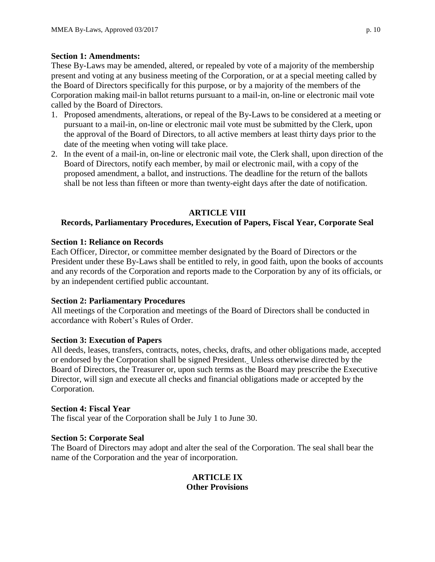## **Section 1: Amendments:**

These By-Laws may be amended, altered, or repealed by vote of a majority of the membership present and voting at any business meeting of the Corporation, or at a special meeting called by the Board of Directors specifically for this purpose, or by a majority of the members of the Corporation making mail-in ballot returns pursuant to a mail-in, on-line or electronic mail vote called by the Board of Directors.

- 1. Proposed amendments, alterations, or repeal of the By-Laws to be considered at a meeting or pursuant to a mail-in, on-line or electronic mail vote must be submitted by the Clerk, upon the approval of the Board of Directors, to all active members at least thirty days prior to the date of the meeting when voting will take place.
- 2. In the event of a mail-in, on-line or electronic mail vote, the Clerk shall, upon direction of the Board of Directors, notify each member, by mail or electronic mail, with a copy of the proposed amendment, a ballot, and instructions. The deadline for the return of the ballots shall be not less than fifteen or more than twenty-eight days after the date of notification.

# **ARTICLE VIII**

# **Records, Parliamentary Procedures, Execution of Papers, Fiscal Year, Corporate Seal**

## **Section 1: Reliance on Records**

Each Officer, Director, or committee member designated by the Board of Directors or the President under these By-Laws shall be entitled to rely, in good faith, upon the books of accounts and any records of the Corporation and reports made to the Corporation by any of its officials, or by an independent certified public accountant.

## **Section 2: Parliamentary Procedures**

All meetings of the Corporation and meetings of the Board of Directors shall be conducted in accordance with Robert's Rules of Order.

## **Section 3: Execution of Papers**

All deeds, leases, transfers, contracts, notes, checks, drafts, and other obligations made, accepted or endorsed by the Corporation shall be signed President. Unless otherwise directed by the Board of Directors, the Treasurer or, upon such terms as the Board may prescribe the Executive Director, will sign and execute all checks and financial obligations made or accepted by the Corporation.

## **Section 4: Fiscal Year**

The fiscal year of the Corporation shall be July 1 to June 30.

## **Section 5: Corporate Seal**

The Board of Directors may adopt and alter the seal of the Corporation. The seal shall bear the name of the Corporation and the year of incorporation.

## **ARTICLE IX Other Provisions**